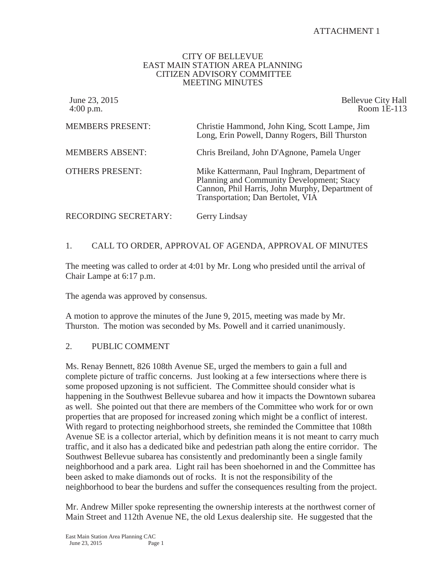# ATTACHMENT 1

#### CITY OF BELLEVUE EAST MAIN STATION AREA PLANNING CITIZEN ADVISORY COMMITTEE MEETING MINUTES

| June 23, 2015<br>$4:00$ p.m. | <b>Bellevue City Hall</b><br>Room 1E-113                                                                                                                                          |
|------------------------------|-----------------------------------------------------------------------------------------------------------------------------------------------------------------------------------|
| <b>MEMBERS PRESENT:</b>      | Christie Hammond, John King, Scott Lampe, Jim<br>Long, Erin Powell, Danny Rogers, Bill Thurston                                                                                   |
| <b>MEMBERS ABSENT:</b>       | Chris Breiland, John D'Agnone, Pamela Unger                                                                                                                                       |
| <b>OTHERS PRESENT:</b>       | Mike Kattermann, Paul Inghram, Department of<br>Planning and Community Development; Stacy<br>Cannon, Phil Harris, John Murphy, Department of<br>Transportation; Dan Bertolet, VIA |
| RECORDING SECRETARY:         | Gerry Lindsay                                                                                                                                                                     |

# 1. CALL TO ORDER, APPROVAL OF AGENDA, APPROVAL OF MINUTES

The meeting was called to order at 4:01 by Mr. Long who presided until the arrival of Chair Lampe at 6:17 p.m.

The agenda was approved by consensus.

A motion to approve the minutes of the June 9, 2015, meeting was made by Mr. Thurston. The motion was seconded by Ms. Powell and it carried unanimously.

### 2. PUBLIC COMMENT

Ms. Renay Bennett, 826 108th Avenue SE, urged the members to gain a full and complete picture of traffic concerns. Just looking at a few intersections where there is some proposed upzoning is not sufficient. The Committee should consider what is happening in the Southwest Bellevue subarea and how it impacts the Downtown subarea as well. She pointed out that there are members of the Committee who work for or own properties that are proposed for increased zoning which might be a conflict of interest. With regard to protecting neighborhood streets, she reminded the Committee that 108th Avenue SE is a collector arterial, which by definition means it is not meant to carry much traffic, and it also has a dedicated bike and pedestrian path along the entire corridor. The Southwest Bellevue subarea has consistently and predominantly been a single family neighborhood and a park area. Light rail has been shoehorned in and the Committee has been asked to make diamonds out of rocks. It is not the responsibility of the neighborhood to bear the burdens and suffer the consequences resulting from the project.

Mr. Andrew Miller spoke representing the ownership interests at the northwest corner of Main Street and 112th Avenue NE, the old Lexus dealership site. He suggested that the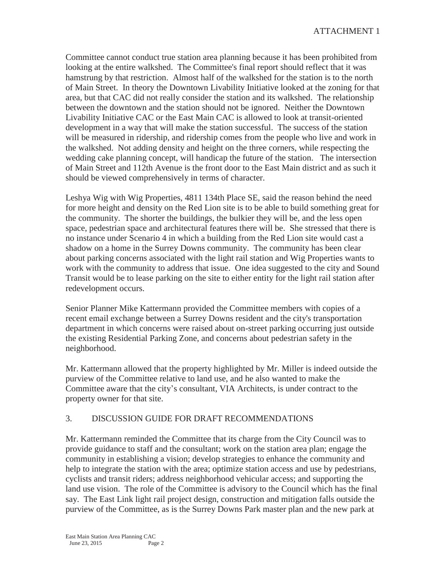Committee cannot conduct true station area planning because it has been prohibited from looking at the entire walkshed. The Committee's final report should reflect that it was hamstrung by that restriction. Almost half of the walkshed for the station is to the north of Main Street. In theory the Downtown Livability Initiative looked at the zoning for that area, but that CAC did not really consider the station and its walkshed. The relationship between the downtown and the station should not be ignored. Neither the Downtown Livability Initiative CAC or the East Main CAC is allowed to look at transit-oriented development in a way that will make the station successful. The success of the station will be measured in ridership, and ridership comes from the people who live and work in the walkshed. Not adding density and height on the three corners, while respecting the wedding cake planning concept, will handicap the future of the station. The intersection of Main Street and 112th Avenue is the front door to the East Main district and as such it should be viewed comprehensively in terms of character.

Leshya Wig with Wig Properties, 4811 134th Place SE, said the reason behind the need for more height and density on the Red Lion site is to be able to build something great for the community. The shorter the buildings, the bulkier they will be, and the less open space, pedestrian space and architectural features there will be. She stressed that there is no instance under Scenario 4 in which a building from the Red Lion site would cast a shadow on a home in the Surrey Downs community. The community has been clear about parking concerns associated with the light rail station and Wig Properties wants to work with the community to address that issue. One idea suggested to the city and Sound Transit would be to lease parking on the site to either entity for the light rail station after redevelopment occurs.

Senior Planner Mike Kattermann provided the Committee members with copies of a recent email exchange between a Surrey Downs resident and the city's transportation department in which concerns were raised about on-street parking occurring just outside the existing Residential Parking Zone, and concerns about pedestrian safety in the neighborhood.

Mr. Kattermann allowed that the property highlighted by Mr. Miller is indeed outside the purview of the Committee relative to land use, and he also wanted to make the Committee aware that the city's consultant, VIA Architects, is under contract to the property owner for that site.

# 3. DISCUSSION GUIDE FOR DRAFT RECOMMENDATIONS

Mr. Kattermann reminded the Committee that its charge from the City Council was to provide guidance to staff and the consultant; work on the station area plan; engage the community in establishing a vision; develop strategies to enhance the community and help to integrate the station with the area; optimize station access and use by pedestrians, cyclists and transit riders; address neighborhood vehicular access; and supporting the land use vision. The role of the Committee is advisory to the Council which has the final say. The East Link light rail project design, construction and mitigation falls outside the purview of the Committee, as is the Surrey Downs Park master plan and the new park at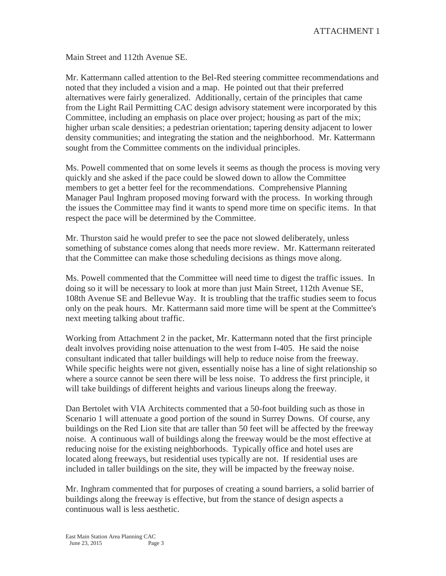Main Street and 112th Avenue SE.

Mr. Kattermann called attention to the Bel-Red steering committee recommendations and noted that they included a vision and a map. He pointed out that their preferred alternatives were fairly generalized. Additionally, certain of the principles that came from the Light Rail Permitting CAC design advisory statement were incorporated by this Committee, including an emphasis on place over project; housing as part of the mix; higher urban scale densities; a pedestrian orientation; tapering density adjacent to lower density communities; and integrating the station and the neighborhood. Mr. Kattermann sought from the Committee comments on the individual principles.

Ms. Powell commented that on some levels it seems as though the process is moving very quickly and she asked if the pace could be slowed down to allow the Committee members to get a better feel for the recommendations. Comprehensive Planning Manager Paul Inghram proposed moving forward with the process. In working through the issues the Committee may find it wants to spend more time on specific items. In that respect the pace will be determined by the Committee.

Mr. Thurston said he would prefer to see the pace not slowed deliberately, unless something of substance comes along that needs more review. Mr. Kattermann reiterated that the Committee can make those scheduling decisions as things move along.

Ms. Powell commented that the Committee will need time to digest the traffic issues. In doing so it will be necessary to look at more than just Main Street, 112th Avenue SE, 108th Avenue SE and Bellevue Way. It is troubling that the traffic studies seem to focus only on the peak hours. Mr. Kattermann said more time will be spent at the Committee's next meeting talking about traffic.

Working from Attachment 2 in the packet, Mr. Kattermann noted that the first principle dealt involves providing noise attenuation to the west from I-405. He said the noise consultant indicated that taller buildings will help to reduce noise from the freeway. While specific heights were not given, essentially noise has a line of sight relationship so where a source cannot be seen there will be less noise. To address the first principle, it will take buildings of different heights and various lineups along the freeway.

Dan Bertolet with VIA Architects commented that a 50-foot building such as those in Scenario 1 will attenuate a good portion of the sound in Surrey Downs. Of course, any buildings on the Red Lion site that are taller than 50 feet will be affected by the freeway noise. A continuous wall of buildings along the freeway would be the most effective at reducing noise for the existing neighborhoods. Typically office and hotel uses are located along freeways, but residential uses typically are not. If residential uses are included in taller buildings on the site, they will be impacted by the freeway noise.

Mr. Inghram commented that for purposes of creating a sound barriers, a solid barrier of buildings along the freeway is effective, but from the stance of design aspects a continuous wall is less aesthetic.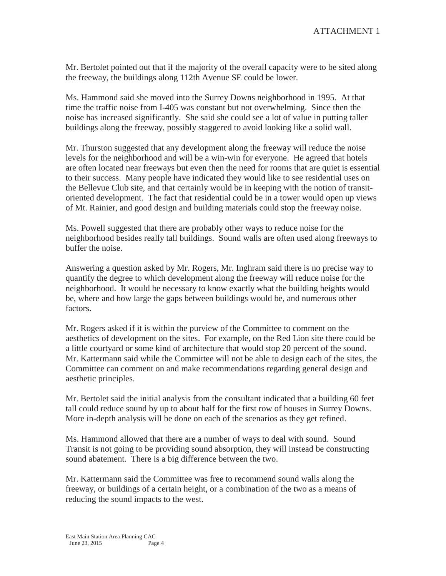Mr. Bertolet pointed out that if the majority of the overall capacity were to be sited along the freeway, the buildings along 112th Avenue SE could be lower.

Ms. Hammond said she moved into the Surrey Downs neighborhood in 1995. At that time the traffic noise from I-405 was constant but not overwhelming. Since then the noise has increased significantly. She said she could see a lot of value in putting taller buildings along the freeway, possibly staggered to avoid looking like a solid wall.

Mr. Thurston suggested that any development along the freeway will reduce the noise levels for the neighborhood and will be a win-win for everyone. He agreed that hotels are often located near freeways but even then the need for rooms that are quiet is essential to their success. Many people have indicated they would like to see residential uses on the Bellevue Club site, and that certainly would be in keeping with the notion of transitoriented development. The fact that residential could be in a tower would open up views of Mt. Rainier, and good design and building materials could stop the freeway noise.

Ms. Powell suggested that there are probably other ways to reduce noise for the neighborhood besides really tall buildings. Sound walls are often used along freeways to buffer the noise.

Answering a question asked by Mr. Rogers, Mr. Inghram said there is no precise way to quantify the degree to which development along the freeway will reduce noise for the neighborhood. It would be necessary to know exactly what the building heights would be, where and how large the gaps between buildings would be, and numerous other factors.

Mr. Rogers asked if it is within the purview of the Committee to comment on the aesthetics of development on the sites. For example, on the Red Lion site there could be a little courtyard or some kind of architecture that would stop 20 percent of the sound. Mr. Kattermann said while the Committee will not be able to design each of the sites, the Committee can comment on and make recommendations regarding general design and aesthetic principles.

Mr. Bertolet said the initial analysis from the consultant indicated that a building 60 feet tall could reduce sound by up to about half for the first row of houses in Surrey Downs. More in-depth analysis will be done on each of the scenarios as they get refined.

Ms. Hammond allowed that there are a number of ways to deal with sound. Sound Transit is not going to be providing sound absorption, they will instead be constructing sound abatement. There is a big difference between the two.

Mr. Kattermann said the Committee was free to recommend sound walls along the freeway, or buildings of a certain height, or a combination of the two as a means of reducing the sound impacts to the west.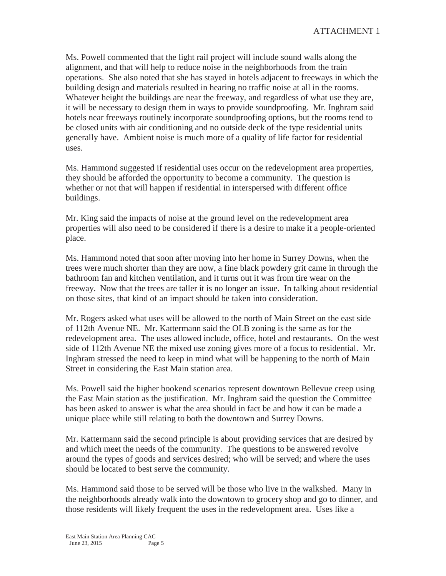Ms. Powell commented that the light rail project will include sound walls along the alignment, and that will help to reduce noise in the neighborhoods from the train operations. She also noted that she has stayed in hotels adjacent to freeways in which the building design and materials resulted in hearing no traffic noise at all in the rooms. Whatever height the buildings are near the freeway, and regardless of what use they are, it will be necessary to design them in ways to provide soundproofing. Mr. Inghram said hotels near freeways routinely incorporate soundproofing options, but the rooms tend to be closed units with air conditioning and no outside deck of the type residential units generally have. Ambient noise is much more of a quality of life factor for residential uses.

Ms. Hammond suggested if residential uses occur on the redevelopment area properties, they should be afforded the opportunity to become a community. The question is whether or not that will happen if residential in interspersed with different office buildings.

Mr. King said the impacts of noise at the ground level on the redevelopment area properties will also need to be considered if there is a desire to make it a people-oriented place.

Ms. Hammond noted that soon after moving into her home in Surrey Downs, when the trees were much shorter than they are now, a fine black powdery grit came in through the bathroom fan and kitchen ventilation, and it turns out it was from tire wear on the freeway. Now that the trees are taller it is no longer an issue. In talking about residential on those sites, that kind of an impact should be taken into consideration.

Mr. Rogers asked what uses will be allowed to the north of Main Street on the east side of 112th Avenue NE. Mr. Kattermann said the OLB zoning is the same as for the redevelopment area. The uses allowed include, office, hotel and restaurants. On the west side of 112th Avenue NE the mixed use zoning gives more of a focus to residential. Mr. Inghram stressed the need to keep in mind what will be happening to the north of Main Street in considering the East Main station area.

Ms. Powell said the higher bookend scenarios represent downtown Bellevue creep using the East Main station as the justification. Mr. Inghram said the question the Committee has been asked to answer is what the area should in fact be and how it can be made a unique place while still relating to both the downtown and Surrey Downs.

Mr. Kattermann said the second principle is about providing services that are desired by and which meet the needs of the community. The questions to be answered revolve around the types of goods and services desired; who will be served; and where the uses should be located to best serve the community.

Ms. Hammond said those to be served will be those who live in the walkshed. Many in the neighborhoods already walk into the downtown to grocery shop and go to dinner, and those residents will likely frequent the uses in the redevelopment area. Uses like a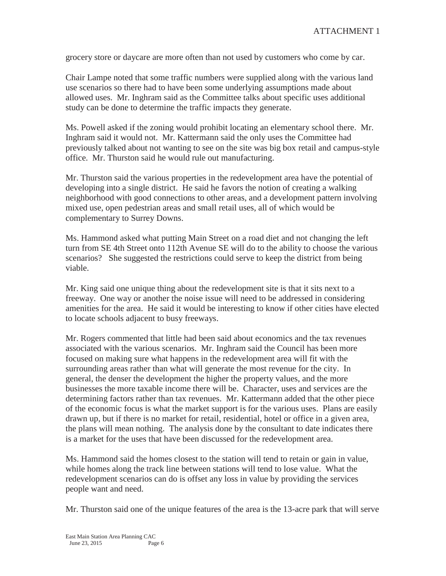grocery store or daycare are more often than not used by customers who come by car.

Chair Lampe noted that some traffic numbers were supplied along with the various land use scenarios so there had to have been some underlying assumptions made about allowed uses. Mr. Inghram said as the Committee talks about specific uses additional study can be done to determine the traffic impacts they generate.

Ms. Powell asked if the zoning would prohibit locating an elementary school there. Mr. Inghram said it would not. Mr. Kattermann said the only uses the Committee had previously talked about not wanting to see on the site was big box retail and campus-style office. Mr. Thurston said he would rule out manufacturing.

Mr. Thurston said the various properties in the redevelopment area have the potential of developing into a single district. He said he favors the notion of creating a walking neighborhood with good connections to other areas, and a development pattern involving mixed use, open pedestrian areas and small retail uses, all of which would be complementary to Surrey Downs.

Ms. Hammond asked what putting Main Street on a road diet and not changing the left turn from SE 4th Street onto 112th Avenue SE will do to the ability to choose the various scenarios? She suggested the restrictions could serve to keep the district from being viable.

Mr. King said one unique thing about the redevelopment site is that it sits next to a freeway. One way or another the noise issue will need to be addressed in considering amenities for the area. He said it would be interesting to know if other cities have elected to locate schools adjacent to busy freeways.

Mr. Rogers commented that little had been said about economics and the tax revenues associated with the various scenarios. Mr. Inghram said the Council has been more focused on making sure what happens in the redevelopment area will fit with the surrounding areas rather than what will generate the most revenue for the city. In general, the denser the development the higher the property values, and the more businesses the more taxable income there will be. Character, uses and services are the determining factors rather than tax revenues. Mr. Kattermann added that the other piece of the economic focus is what the market support is for the various uses. Plans are easily drawn up, but if there is no market for retail, residential, hotel or office in a given area, the plans will mean nothing. The analysis done by the consultant to date indicates there is a market for the uses that have been discussed for the redevelopment area.

Ms. Hammond said the homes closest to the station will tend to retain or gain in value, while homes along the track line between stations will tend to lose value. What the redevelopment scenarios can do is offset any loss in value by providing the services people want and need.

Mr. Thurston said one of the unique features of the area is the 13-acre park that will serve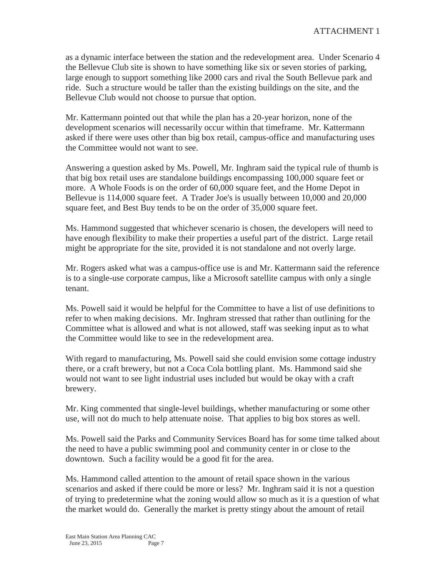as a dynamic interface between the station and the redevelopment area. Under Scenario 4 the Bellevue Club site is shown to have something like six or seven stories of parking, large enough to support something like 2000 cars and rival the South Bellevue park and ride. Such a structure would be taller than the existing buildings on the site, and the Bellevue Club would not choose to pursue that option.

Mr. Kattermann pointed out that while the plan has a 20-year horizon, none of the development scenarios will necessarily occur within that timeframe. Mr. Kattermann asked if there were uses other than big box retail, campus-office and manufacturing uses the Committee would not want to see.

Answering a question asked by Ms. Powell, Mr. Inghram said the typical rule of thumb is that big box retail uses are standalone buildings encompassing 100,000 square feet or more. A Whole Foods is on the order of 60,000 square feet, and the Home Depot in Bellevue is 114,000 square feet. A Trader Joe's is usually between 10,000 and 20,000 square feet, and Best Buy tends to be on the order of 35,000 square feet.

Ms. Hammond suggested that whichever scenario is chosen, the developers will need to have enough flexibility to make their properties a useful part of the district. Large retail might be appropriate for the site, provided it is not standalone and not overly large.

Mr. Rogers asked what was a campus-office use is and Mr. Kattermann said the reference is to a single-use corporate campus, like a Microsoft satellite campus with only a single tenant.

Ms. Powell said it would be helpful for the Committee to have a list of use definitions to refer to when making decisions. Mr. Inghram stressed that rather than outlining for the Committee what is allowed and what is not allowed, staff was seeking input as to what the Committee would like to see in the redevelopment area.

With regard to manufacturing, Ms. Powell said she could envision some cottage industry there, or a craft brewery, but not a Coca Cola bottling plant. Ms. Hammond said she would not want to see light industrial uses included but would be okay with a craft brewery.

Mr. King commented that single-level buildings, whether manufacturing or some other use, will not do much to help attenuate noise. That applies to big box stores as well.

Ms. Powell said the Parks and Community Services Board has for some time talked about the need to have a public swimming pool and community center in or close to the downtown. Such a facility would be a good fit for the area.

Ms. Hammond called attention to the amount of retail space shown in the various scenarios and asked if there could be more or less? Mr. Inghram said it is not a question of trying to predetermine what the zoning would allow so much as it is a question of what the market would do. Generally the market is pretty stingy about the amount of retail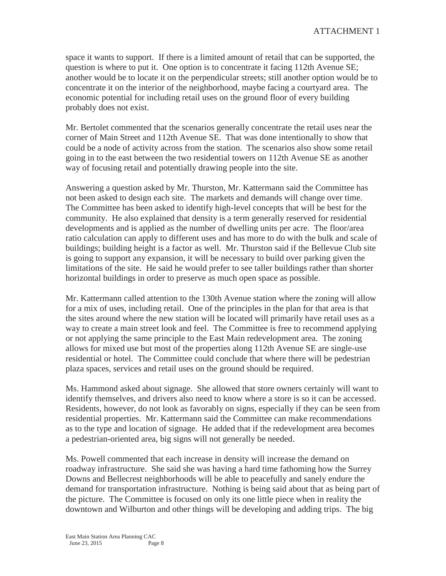space it wants to support. If there is a limited amount of retail that can be supported, the question is where to put it. One option is to concentrate it facing 112th Avenue SE; another would be to locate it on the perpendicular streets; still another option would be to concentrate it on the interior of the neighborhood, maybe facing a courtyard area. The economic potential for including retail uses on the ground floor of every building probably does not exist.

Mr. Bertolet commented that the scenarios generally concentrate the retail uses near the corner of Main Street and 112th Avenue SE. That was done intentionally to show that could be a node of activity across from the station. The scenarios also show some retail going in to the east between the two residential towers on 112th Avenue SE as another way of focusing retail and potentially drawing people into the site.

Answering a question asked by Mr. Thurston, Mr. Kattermann said the Committee has not been asked to design each site. The markets and demands will change over time. The Committee has been asked to identify high-level concepts that will be best for the community. He also explained that density is a term generally reserved for residential developments and is applied as the number of dwelling units per acre. The floor/area ratio calculation can apply to different uses and has more to do with the bulk and scale of buildings; building height is a factor as well. Mr. Thurston said if the Bellevue Club site is going to support any expansion, it will be necessary to build over parking given the limitations of the site. He said he would prefer to see taller buildings rather than shorter horizontal buildings in order to preserve as much open space as possible.

Mr. Kattermann called attention to the 130th Avenue station where the zoning will allow for a mix of uses, including retail. One of the principles in the plan for that area is that the sites around where the new station will be located will primarily have retail uses as a way to create a main street look and feel. The Committee is free to recommend applying or not applying the same principle to the East Main redevelopment area. The zoning allows for mixed use but most of the properties along 112th Avenue SE are single-use residential or hotel. The Committee could conclude that where there will be pedestrian plaza spaces, services and retail uses on the ground should be required.

Ms. Hammond asked about signage. She allowed that store owners certainly will want to identify themselves, and drivers also need to know where a store is so it can be accessed. Residents, however, do not look as favorably on signs, especially if they can be seen from residential properties. Mr. Kattermann said the Committee can make recommendations as to the type and location of signage. He added that if the redevelopment area becomes a pedestrian-oriented area, big signs will not generally be needed.

Ms. Powell commented that each increase in density will increase the demand on roadway infrastructure. She said she was having a hard time fathoming how the Surrey Downs and Bellecrest neighborhoods will be able to peacefully and sanely endure the demand for transportation infrastructure. Nothing is being said about that as being part of the picture. The Committee is focused on only its one little piece when in reality the downtown and Wilburton and other things will be developing and adding trips. The big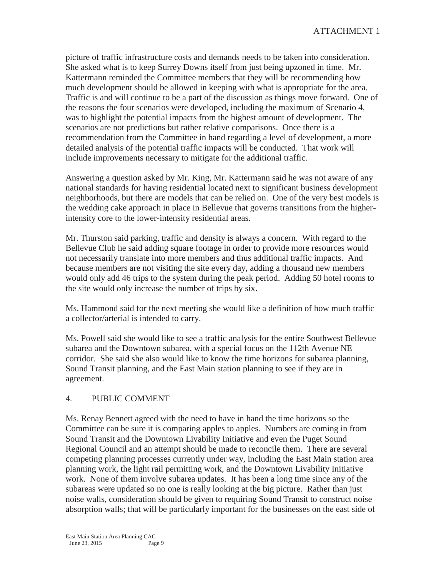picture of traffic infrastructure costs and demands needs to be taken into consideration. She asked what is to keep Surrey Downs itself from just being upzoned in time. Mr. Kattermann reminded the Committee members that they will be recommending how much development should be allowed in keeping with what is appropriate for the area. Traffic is and will continue to be a part of the discussion as things move forward. One of the reasons the four scenarios were developed, including the maximum of Scenario 4, was to highlight the potential impacts from the highest amount of development. The scenarios are not predictions but rather relative comparisons. Once there is a recommendation from the Committee in hand regarding a level of development, a more detailed analysis of the potential traffic impacts will be conducted. That work will include improvements necessary to mitigate for the additional traffic.

Answering a question asked by Mr. King, Mr. Kattermann said he was not aware of any national standards for having residential located next to significant business development neighborhoods, but there are models that can be relied on. One of the very best models is the wedding cake approach in place in Bellevue that governs transitions from the higherintensity core to the lower-intensity residential areas.

Mr. Thurston said parking, traffic and density is always a concern. With regard to the Bellevue Club he said adding square footage in order to provide more resources would not necessarily translate into more members and thus additional traffic impacts. And because members are not visiting the site every day, adding a thousand new members would only add 46 trips to the system during the peak period. Adding 50 hotel rooms to the site would only increase the number of trips by six.

Ms. Hammond said for the next meeting she would like a definition of how much traffic a collector/arterial is intended to carry.

Ms. Powell said she would like to see a traffic analysis for the entire Southwest Bellevue subarea and the Downtown subarea, with a special focus on the 112th Avenue NE corridor. She said she also would like to know the time horizons for subarea planning, Sound Transit planning, and the East Main station planning to see if they are in agreement.

# 4. PUBLIC COMMENT

Ms. Renay Bennett agreed with the need to have in hand the time horizons so the Committee can be sure it is comparing apples to apples. Numbers are coming in from Sound Transit and the Downtown Livability Initiative and even the Puget Sound Regional Council and an attempt should be made to reconcile them. There are several competing planning processes currently under way, including the East Main station area planning work, the light rail permitting work, and the Downtown Livability Initiative work. None of them involve subarea updates. It has been a long time since any of the subareas were updated so no one is really looking at the big picture. Rather than just noise walls, consideration should be given to requiring Sound Transit to construct noise absorption walls; that will be particularly important for the businesses on the east side of